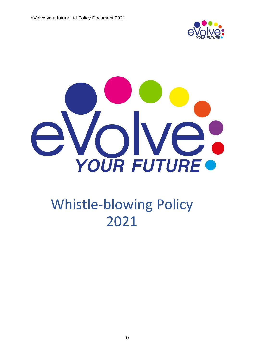



# Whistle-blowing Policy 2021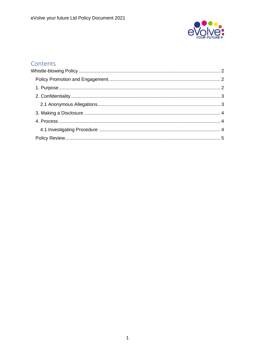

# Contents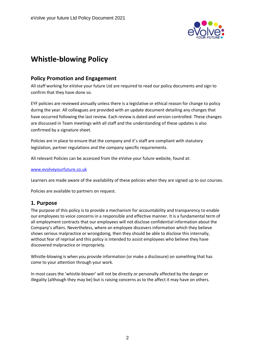

# <span id="page-2-0"></span>**Whistle-blowing Policy**

# <span id="page-2-1"></span>**Policy Promotion and Engagement**

All staff working for eVolve your future Ltd are required to read our policy documents and sign to confirm that they have done so.

EYF policies are reviewed annually unless there is a legislative or ethical reason for change to policy during the year. All colleagues are provided with an update document detailing any changes that have occurred following the last review. Each review is dated and version controlled. These changes are discussed in Team meetings with all staff and the understanding of these updates is also confirmed by a signature sheet.

Policies are in place to ensure that the company and it's staff are compliant with statutory legislation, partner regulations and the company specific requirements.

All relevant Policies can be accessed from the eVolve your future website, found at:

[www.evolveyourfuture.co.uk](http://www.evolveyourfuture.co.uk/)

Learners are made aware of the availability of these policies when they are signed up to our courses.

Policies are available to partners on request.

## <span id="page-2-2"></span>**1. Purpose**

The purpose of this policy is to provide a mechanism for accountability and transparency to enable our employees to voice concerns in a responsible and effective manner. It is a fundamental term of all employment contracts that our employees will not disclose confidential information about the Company's affairs. Nevertheless, where an employee discovers information which they believe shows serious malpractice or wrongdoing, then they should be able to disclose this internally, without fear of reprisal and this policy is intended to assist employees who believe they have discovered malpractice or impropriety.

Whistle-blowing is when you provide information (or make a disclosure) on something that has come to your attention through your work.

In most cases the 'whistle-blower' will not be directly or personally affected by the danger or illegality (although they may be) but is raising concerns as to the affect it may have on others.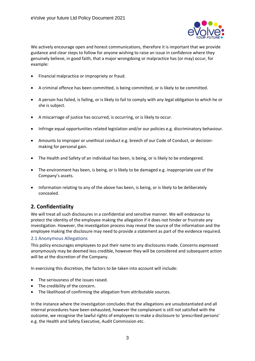

We actively encourage open and honest communications, therefore it is important that we provide guidance and clear steps to follow for anyone wishing to raise an issue in confidence where they genuinely believe, in good faith, that a major wrongdoing or malpractice has (or may) occur, for example:

- Financial malpractice or impropriety or fraud.
- A criminal offence has been committed, is being committed, or is likely to be committed.
- A person has failed, is failing, or is likely to fail to comply with any legal obligation to which he or she is subject.
- A miscarriage of justice has occurred, is occurring, or is likely to occur.
- Infringe equal opportunities related legislation and/or our policies e.g. discriminatory behaviour.
- Amounts to improper or unethical conduct e.g. breech of our Code of Conduct, or decisionmaking for personal gain.
- The Health and Safety of an individual has been, is being, or is likely to be endangered.
- The environment has been, is being, or is likely to be damaged e.g. inappropriate use of the Company's assets.
- Information relating to any of the above has been, is being, or is likely to be deliberately concealed.

# <span id="page-3-0"></span>**2. Confidentiality**

We will treat all such disclosures in a confidential and sensitive manner. We will endeavour to protect the identity of the employee making the allegation if it does not hinder or frustrate any investigation. However, the investigation process may reveal the source of the information and the employee making the disclosure may need to provide a statement as part of the evidence required.

#### <span id="page-3-1"></span>2.1 Anonymous Allegations

This policy encourages employees to put their name to any disclosures made. Concerns expressed anonymously may be deemed less credible, however they will be considered and subsequent action will be at the discretion of the Company.

In exercising this discretion, the factors to be taken into account will include:

- The seriousness of the issues raised.
- The credibility of the concern.
- The likelihood of confirming the allegation from attributable sources.

In the instance where the investigation concludes that the allegations are unsubstantiated and all internal procedures have been exhausted, however the complainant is still not satisfied with the outcome, we recognise the lawful rights of employees to make a disclosure to 'prescribed persons' e.g. the Health and Safety Executive, Audit Commission etc.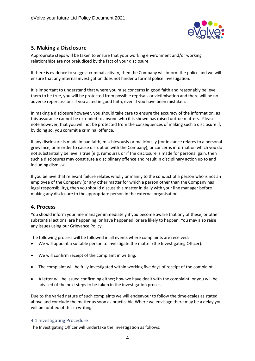

# <span id="page-4-0"></span>**3. Making a Disclosure**

Appropriate steps will be taken to ensure that your working environment and/or working relationships are not prejudiced by the fact of your disclosure.

If there is evidence to suggest criminal activity, then the Company will inform the police and we will ensure that any internal investigation does not hinder a formal police investigation.

It is important to understand that where you raise concerns in good faith and reasonably believe them to be true, you will be protected from possible reprisals or victimisation and there will be no adverse repercussions if you acted in good faith, even if you have been mistaken.

In making a disclosure however, you should take care to ensure the accuracy of the information, as this assurance cannot be extended to anyone who it is shown has raised untrue matters. Please note however, that you will not be protected from the consequences of making such a disclosure if, by doing so, you commit a criminal offence.

If any disclosure is made in bad faith, mischievously or maliciously (for instance relates to a personal grievance, or in order to cause disruption with the Company), or concerns information which you do not substantially believe is true (e.g. rumours), or if the disclosure is made for personal gain, then such a disclosures may constitute a disciplinary offence and result in disciplinary action up to and including dismissal.

If you believe that relevant failure relates wholly or mainly to the conduct of a person who is not an employee of the Company (or any other matter for which a person other than the Company has legal responsibility), then you should discuss this matter initially with your line manager before making any disclosure to the appropriate person in the external organisation.

## <span id="page-4-1"></span>**4. Process**

You should inform your line manager immediately if you become aware that any of these, or other substantial actions, are happening, or have happened, or are likely to happen. You may also raise any issues using our Grievance Policy.

The following process will be followed in all events where complaints are received:

- We will appoint a suitable person to investigate the matter (the Investigating Officer).
- We will confirm receipt of the complaint in writing.
- The complaint will be fully investigated within working five days of receipt of the complaint.
- A letter will be issued confirming either; how we have dealt with the complaint, or you will be advised of the next steps to be taken in the investigation process.

Due to the varied nature of such complaints we will endeavour to follow the time-scales as stated above and conclude the matter as soon as practicable Where we envisage there may be a delay you will be notified of this in writing.

#### <span id="page-4-2"></span>4.1 Investigating Procedure

The Investigating Officer will undertake the investigation as follows: